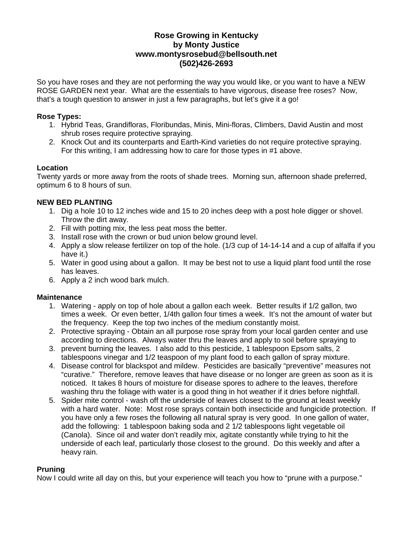# **Rose Growing in Kentucky by Monty Justice www.montysrosebud@bellsouth.net (502)426-2693**

So you have roses and they are not performing the way you would like, or you want to have a NEW ROSE GARDEN next year. What are the essentials to have vigorous, disease free roses? Now, that's a tough question to answer in just a few paragraphs, but let's give it a go!

### **Rose Types:**

- 1. Hybrid Teas, Grandifloras, Floribundas, Minis, Mini-floras, Climbers, David Austin and most shrub roses require protective spraying.
- 2. Knock Out and its counterparts and Earth-Kind varieties do not require protective spraying. For this writing, I am addressing how to care for those types in #1 above.

# **Location**

Twenty yards or more away from the roots of shade trees. Morning sun, afternoon shade preferred, optimum 6 to 8 hours of sun.

# **NEW BED PLANTING**

- 1. Dig a hole 10 to 12 inches wide and 15 to 20 inches deep with a post hole digger or shovel. Throw the dirt away.
- 2. Fill with potting mix, the less peat moss the better.
- 3. Install rose with the crown or bud union below ground level.
- 4. Apply a slow release fertilizer on top of the hole. (1/3 cup of 14-14-14 and a cup of alfalfa if you have it.)
- 5. Water in good using about a gallon. It may be best not to use a liquid plant food until the rose has leaves.
- 6. Apply a 2 inch wood bark mulch.

### **Maintenance**

- 1. Watering apply on top of hole about a gallon each week. Better results if 1/2 gallon, two times a week. Or even better, 1/4th gallon four times a week. It's not the amount of water but the frequency. Keep the top two inches of the medium constantly moist.
- 2. Protective spraying Obtain an all purpose rose spray from your local garden center and use according to directions. Always water thru the leaves and apply to soil before spraying to
- 3. prevent burning the leaves. I also add to this pesticide, 1 tablespoon Epsom salts, 2 tablespoons vinegar and 1/2 teaspoon of my plant food to each gallon of spray mixture.
- 4. Disease control for blackspot and mildew. Pesticides are basically "preventive" measures not "curative." Therefore, remove leaves that have disease or no longer are green as soon as it is noticed. It takes 8 hours of moisture for disease spores to adhere to the leaves, therefore washing thru the foliage with water is a good thing in hot weather if it dries before nightfall.
- 5. Spider mite control wash off the underside of leaves closest to the ground at least weekly with a hard water. Note: Most rose sprays contain both insecticide and fungicide protection. If you have only a few roses the following all natural spray is very good. In one gallon of water, add the following: 1 tablespoon baking soda and 2 1/2 tablespoons light vegetable oil (Canola). Since oil and water don't readily mix, agitate constantly while trying to hit the underside of each leaf, particularly those closest to the ground. Do this weekly and after a heavy rain.

### **Pruning**

Now I could write all day on this, but your experience will teach you how to "prune with a purpose."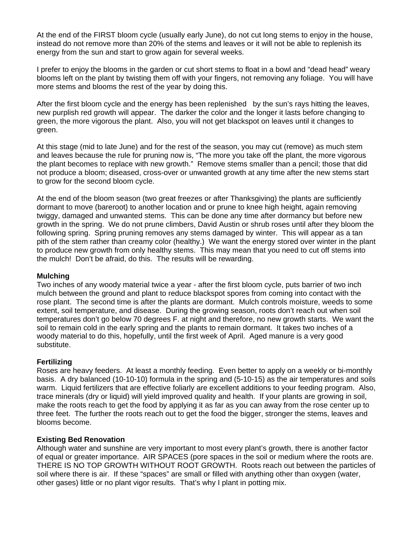At the end of the FIRST bloom cycle (usually early June), do not cut long stems to enjoy in the house, instead do not remove more than 20% of the stems and leaves or it will not be able to replenish its energy from the sun and start to grow again for several weeks.

I prefer to enjoy the blooms in the garden or cut short stems to float in a bowl and "dead head" weary blooms left on the plant by twisting them off with your fingers, not removing any foliage. You will have more stems and blooms the rest of the year by doing this.

After the first bloom cycle and the energy has been replenished by the sun's rays hitting the leaves, new purplish red growth will appear. The darker the color and the longer it lasts before changing to green, the more vigorous the plant. Also, you will not get blackspot on leaves until it changes to green.

At this stage (mid to late June) and for the rest of the season, you may cut (remove) as much stem and leaves because the rule for pruning now is, "The more you take off the plant, the more vigorous the plant becomes to replace with new growth." Remove stems smaller than a pencil; those that did not produce a bloom; diseased, cross-over or unwanted growth at any time after the new stems start to grow for the second bloom cycle.

At the end of the bloom season (two great freezes or after Thanksgiving) the plants are sufficiently dormant to move (bareroot) to another location and or prune to knee high height, again removing twiggy, damaged and unwanted stems. This can be done any time after dormancy but before new growth in the spring. We do not prune climbers, David Austin or shrub roses until after they bloom the following spring. Spring pruning removes any stems damaged by winter. This will appear as a tan pith of the stem rather than creamy color (healthy.) We want the energy stored over winter in the plant to produce new growth from only healthy stems. This may mean that you need to cut off stems into the mulch! Don't be afraid, do this. The results will be rewarding.

#### **Mulching**

Two inches of any woody material twice a year - after the first bloom cycle, puts barrier of two inch mulch between the ground and plant to reduce blackspot spores from coming into contact with the rose plant. The second time is after the plants are dormant. Mulch controls moisture, weeds to some extent, soil temperature, and disease. During the growing season, roots don't reach out when soil temperatures don't go below 70 degrees F. at night and therefore, no new growth starts. We want the soil to remain cold in the early spring and the plants to remain dormant. It takes two inches of a woody material to do this, hopefully, until the first week of April. Aged manure is a very good substitute.

### **Fertilizing**

Roses are heavy feeders. At least a monthly feeding. Even better to apply on a weekly or bi-monthly basis. A dry balanced (10-10-10) formula in the spring and (5-10-15) as the air temperatures and soils warm. Liquid fertilizers that are effective foliarly are excellent additions to your feeding program. Also, trace minerals (dry or liquid) will yield improved quality and health. If your plants are growing in soil, make the roots reach to get the food by applying it as far as you can away from the rose center up to three feet. The further the roots reach out to get the food the bigger, stronger the stems, leaves and blooms become.

#### **Existing Bed Renovation**

Although water and sunshine are very important to most every plant's growth, there is another factor of equal or greater importance. AIR SPACES (pore spaces in the soil or medium where the roots are. THERE IS NO TOP GROWTH WITHOUT ROOT GROWTH. Roots reach out between the particles of soil where there is air. If these "spaces" are small or filled with anything other than oxygen (water, other gases) little or no plant vigor results. That's why I plant in potting mix.